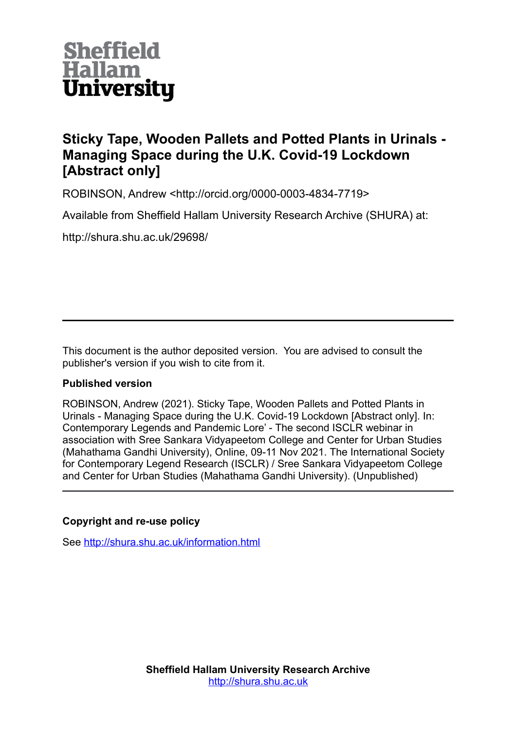

# **Sticky Tape, Wooden Pallets and Potted Plants in Urinals - Managing Space during the U.K. Covid-19 Lockdown [Abstract only]**

ROBINSON, Andrew <http://orcid.org/0000-0003-4834-7719>

Available from Sheffield Hallam University Research Archive (SHURA) at:

http://shura.shu.ac.uk/29698/

This document is the author deposited version. You are advised to consult the publisher's version if you wish to cite from it.

#### **Published version**

ROBINSON, Andrew (2021). Sticky Tape, Wooden Pallets and Potted Plants in Urinals - Managing Space during the U.K. Covid-19 Lockdown [Abstract only]. In: Contemporary Legends and Pandemic Lore' - The second ISCLR webinar in association with Sree Sankara Vidyapeetom College and Center for Urban Studies (Mahathama Gandhi University), Online, 09-11 Nov 2021. The International Society for Contemporary Legend Research (ISCLR) / Sree Sankara Vidyapeetom College and Center for Urban Studies (Mahathama Gandhi University). (Unpublished)

#### **Copyright and re-use policy**

See<http://shura.shu.ac.uk/information.html>